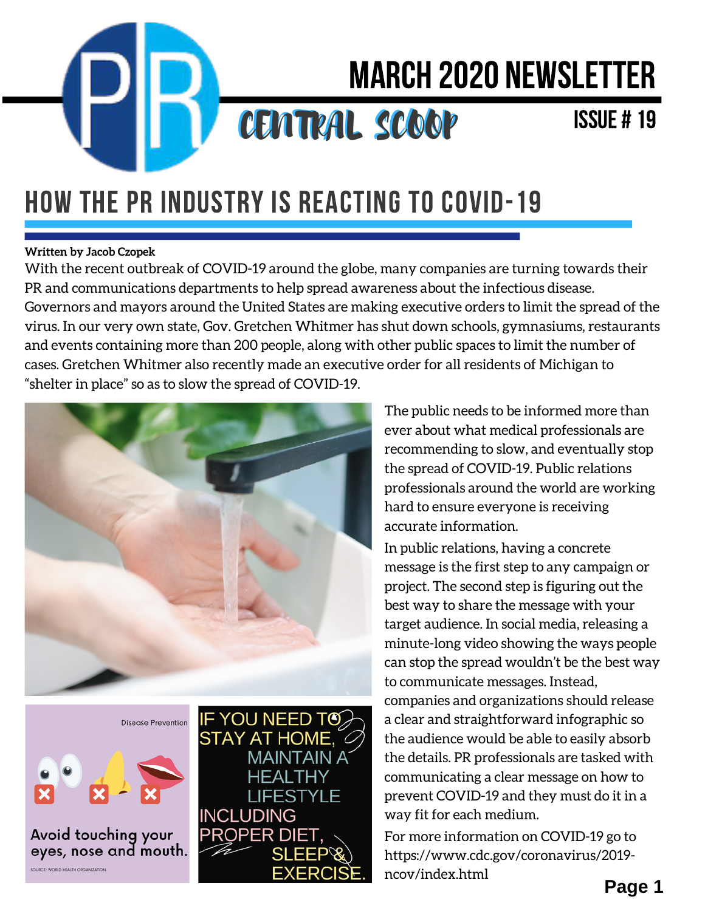

# March 2020 Newsletter

### CENTRAL SCOOP

#### Issue # 19

### HOW THE PR INDUSTRY IS REACTING TO COVID-19

#### **Written by Jacob Czopek**

With the recent outbreak of COVID-19 around the globe, many companies are turning towards their PR and communications departments to help spread awareness about the infectious disease. Governors and mayors around the United States are making executive orders to limit the spread of the virus. In our very own state, Gov. Gretchen Whitmer has shut down schools, gymnasiums, restaurants and events containing more than 200 people, along with other public spaces to limit the number of cases. Gretchen Whitmer also recently made an executive order for all residents of Michigan to "shelter in place" so as to slow the spread of COVID-19.



**Disease Prevention** 



Avoid touching your eyes, nose and mouth.



The public needs to be informed more than ever about what medical professionals are recommending to slow, and eventually stop the spread of COVID-19. Public relations professionals around the world are working hard to ensure everyone is receiving accurate information.

In public relations, having a concrete message is the first step to any campaign or project. The second step is figuring out the best way to share the message with your target audience. In social media, releasing a minute-long video showing the ways people can stop the spread wouldn't be the best way to communicate messages. Instead, companies and organizations should release a clear and straightforward infographic so the audience would be able to easily absorb the details. PR professionals are tasked with communicating a clear message on how to prevent COVID-19 and they must do it in a way fit for each medium.

For more information on COVID-19 go to https://www.cdc.gov/coronavirus/2019 ncov/index.html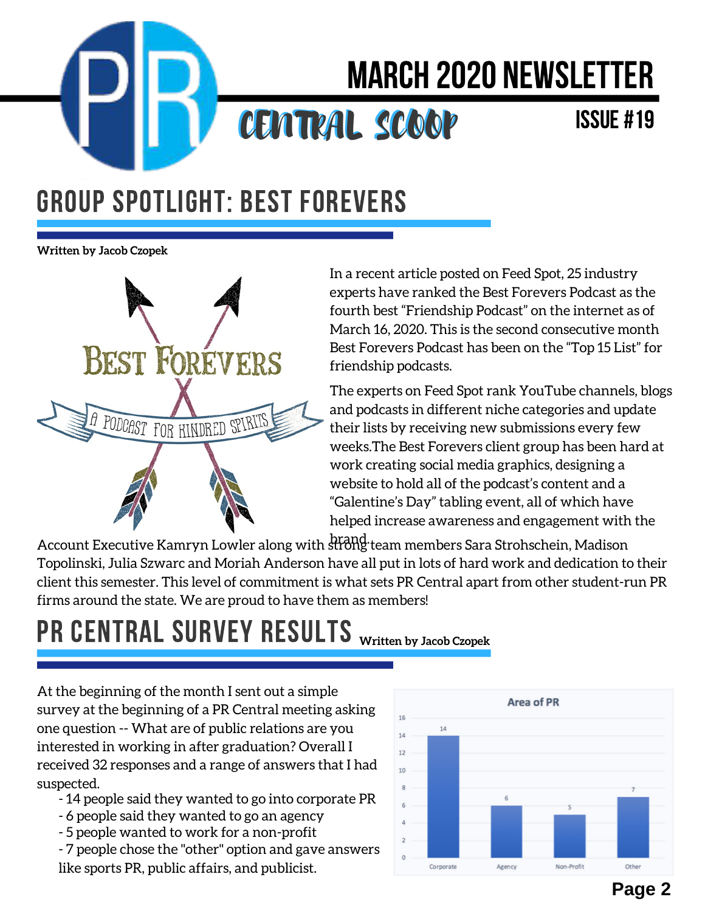

# March 2020 Newsletter

### CENTRAL SCOOP

#### Issue #19

#### GROUP SPOTLIGHT: BEST FOREVERS

**Written by Jacob Czopek**



In a recent article posted on Feed Spot, 25 industry experts have ranked the Best Forevers Podcast as the fourth best "Friendship Podcast" on the internet as of March 16, 2020. This is the second consecutive month Best Forevers Podcast has been on the "Top 15 List" for friendship podcasts.

The experts on Feed Spot rank YouTube channels, blogs and podcasts in different niche categories and update their lists by receiving new submissions every few weeks.The Best Forevers client group has been hard at work creating social media graphics, designing a website to hold all of the podcast's content and a "Galentine's Day" tabling event, all of which have helped increase awareness and engagement with the

Account Executive Kamryn Lowler along with strong team members Sara Strohschein, Madison Topolinski, Julia Szwarc and Moriah Anderson have all put in lots of hard work and dedication to their client this semester. This level of commitment is what sets PR Central apart from other student-run PR firms around the state. We are proud to have them as members!

## PR CENTRAL SURVEY RESULTS **Written by Jacob Czopek**

At the beginning of the month I sent out a simple survey at the beginning of a PR Central meeting asking one question -- What are of public relations are you interested in working in after graduation? Overall I received 32 responses and a range of answers that I had suspected.

- 14 people said they wanted to go into corporate PR
- 6 people said they wanted to go an agency
- 5 people wanted to work for a non-profit

- 7 people chose the "other" option and gave answers like sports PR, public affairs, and publicist.